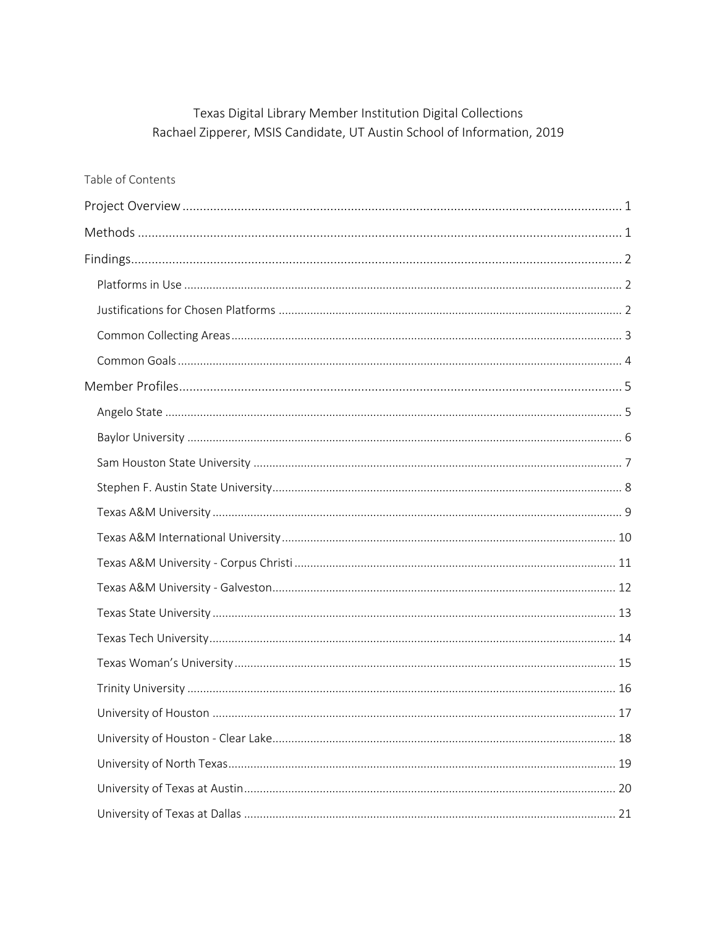### Texas Digital Library Member Institution Digital Collections Rachael Zipperer, MSIS Candidate, UT Austin School of Information, 2019

| Table of Contents |  |
|-------------------|--|
|                   |  |
|                   |  |
|                   |  |
|                   |  |
|                   |  |
|                   |  |
|                   |  |
|                   |  |
|                   |  |
|                   |  |
|                   |  |
|                   |  |
|                   |  |
|                   |  |
|                   |  |
|                   |  |
|                   |  |
|                   |  |
|                   |  |
|                   |  |
|                   |  |
|                   |  |
|                   |  |
|                   |  |
|                   |  |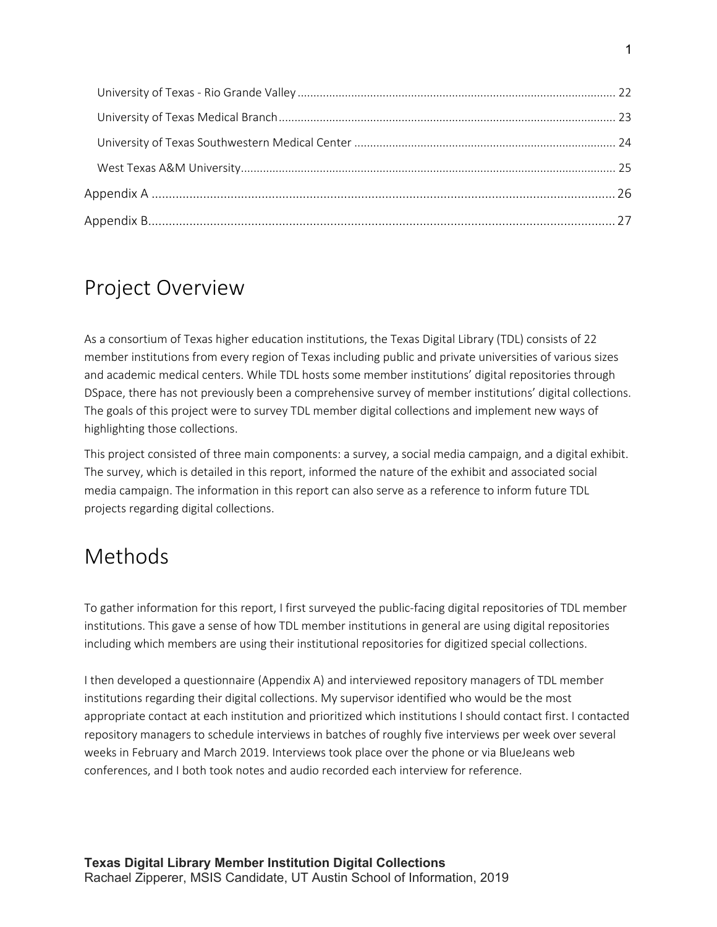# Project Overview

As a consortium of Texas higher education institutions, the Texas Digital Library (TDL) consists of 22 member institutions from every region of Texas including public and private universities of various sizes and academic medical centers. While TDL hosts some member institutions' digital repositories through DSpace, there has not previously been a comprehensive survey of member institutions' digital collections. The goals of this project were to survey TDL member digital collections and implement new ways of highlighting those collections.

This project consisted of three main components: a survey, a social media campaign, and a digital exhibit. The survey, which is detailed in this report, informed the nature of the exhibit and associated social media campaign. The information in this report can also serve as a reference to inform future TDL projects regarding digital collections.

# Methods

To gather information for this report, I first surveyed the public-facing digital repositories of TDL member institutions. This gave a sense of how TDL member institutions in general are using digital repositories including which members are using their institutional repositories for digitized special collections.

I then developed a questionnaire (Appendix A) and interviewed repository managers of TDL member institutions regarding their digital collections. My supervisor identified who would be the most appropriate contact at each institution and prioritized which institutions I should contact first. I contacted repository managers to schedule interviews in batches of roughly five interviews per week over several weeks in February and March 2019. Interviews took place over the phone or via BlueJeans web conferences, and I both took notes and audio recorded each interview for reference.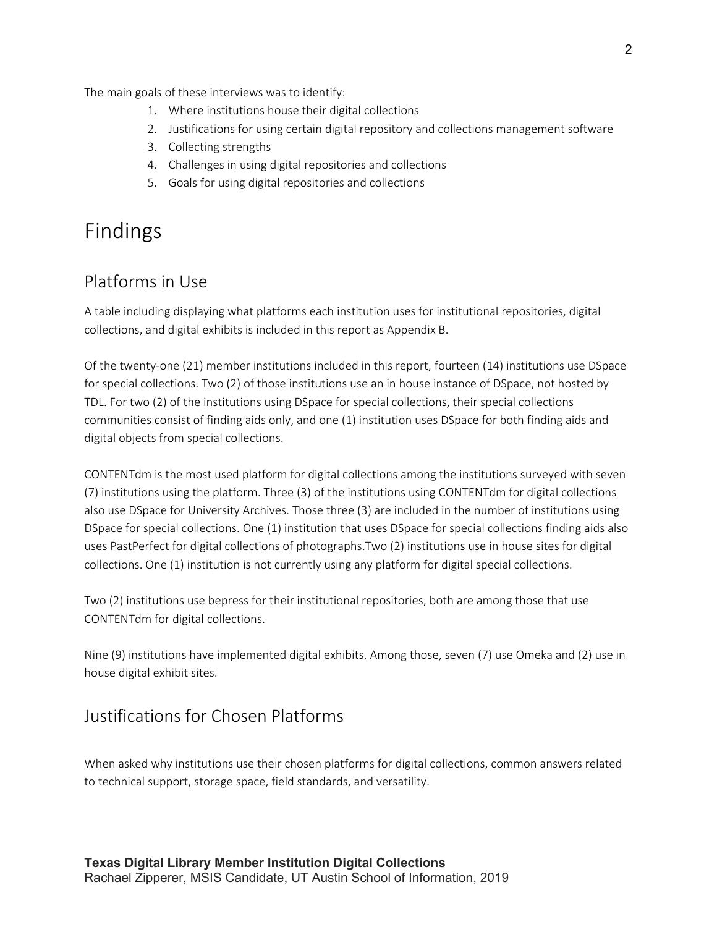The main goals of these interviews was to identify:

- 1. Where institutions house their digital collections
- 2. Justifications for using certain digital repository and collections management software
- 3. Collecting strengths
- 4. Challenges in using digital repositories and collections
- 5. Goals for using digital repositories and collections

# Findings

### Platforms in Use

A table including displaying what platforms each institution uses for institutional repositories, digital collections, and digital exhibits is included in this report as Appendix B.

Of the twenty-one (21) member institutions included in this report, fourteen (14) institutions use DSpace for special collections. Two (2) of those institutions use an in house instance of DSpace, not hosted by TDL. For two (2) of the institutions using DSpace for special collections, their special collections communities consist of finding aids only, and one (1) institution uses DSpace for both finding aids and digital objects from special collections.

CONTENTdm is the most used platform for digital collections among the institutions surveyed with seven (7) institutions using the platform. Three (3) of the institutions using CONTENTdm for digital collections also use DSpace for University Archives. Those three (3) are included in the number of institutions using DSpace for special collections. One (1) institution that uses DSpace for special collections finding aids also uses PastPerfect for digital collections of photographs.Two (2) institutions use in house sites for digital collections. One (1) institution is not currently using any platform for digital special collections.

Two (2) institutions use bepress for their institutional repositories, both are among those that use CONTENTdm for digital collections.

Nine (9) institutions have implemented digital exhibits. Among those, seven (7) use Omeka and (2) use in house digital exhibit sites.

## Justifications for Chosen Platforms

When asked why institutions use their chosen platforms for digital collections, common answers related to technical support, storage space, field standards, and versatility.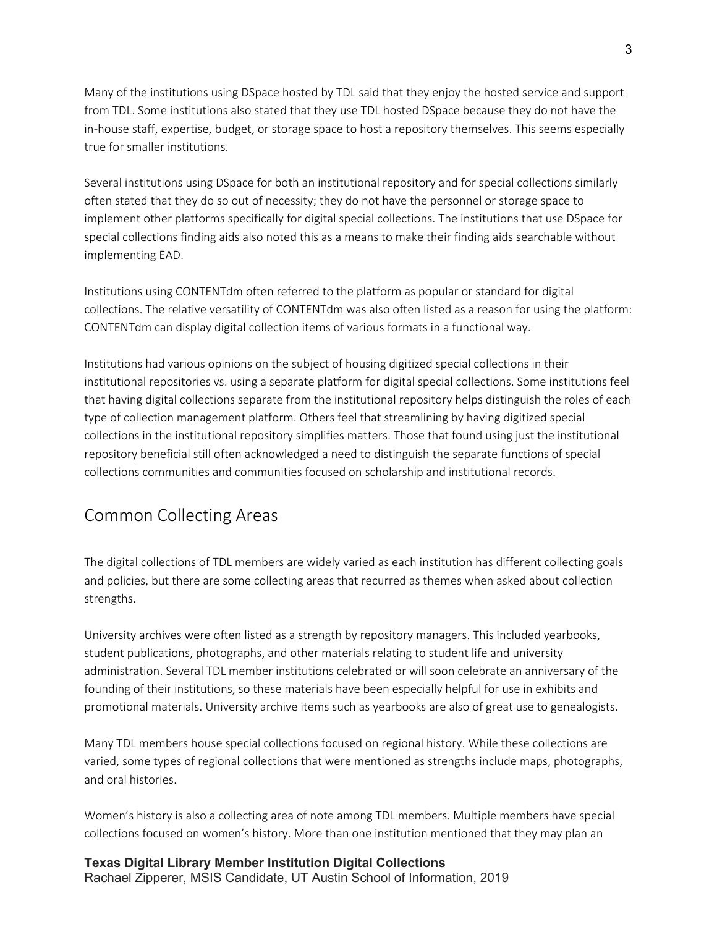Many of the institutions using DSpace hosted by TDL said that they enjoy the hosted service and support from TDL. Some institutions also stated that they use TDL hosted DSpace because they do not have the in-house staff, expertise, budget, or storage space to host a repository themselves. This seems especially true for smaller institutions.

Several institutions using DSpace for both an institutional repository and for special collections similarly often stated that they do so out of necessity; they do not have the personnel or storage space to implement other platforms specifically for digital special collections. The institutions that use DSpace for special collections finding aids also noted this as a means to make their finding aids searchable without implementing EAD.

Institutions using CONTENTdm often referred to the platform as popular or standard for digital collections. The relative versatility of CONTENTdm was also often listed as a reason for using the platform: CONTENTdm can display digital collection items of various formats in a functional way.

Institutions had various opinions on the subject of housing digitized special collections in their institutional repositories vs. using a separate platform for digital special collections. Some institutions feel that having digital collections separate from the institutional repository helps distinguish the roles of each type of collection management platform. Others feel that streamlining by having digitized special collections in the institutional repository simplifies matters. Those that found using just the institutional repository beneficial still often acknowledged a need to distinguish the separate functions of special collections communities and communities focused on scholarship and institutional records.

### Common Collecting Areas

The digital collections of TDL members are widely varied as each institution has different collecting goals and policies, but there are some collecting areas that recurred as themes when asked about collection strengths.

University archives were often listed as a strength by repository managers. This included yearbooks, student publications, photographs, and other materials relating to student life and university administration. Several TDL member institutions celebrated or will soon celebrate an anniversary of the founding of their institutions, so these materials have been especially helpful for use in exhibits and promotional materials. University archive items such as yearbooks are also of great use to genealogists.

Many TDL members house special collections focused on regional history. While these collections are varied, some types of regional collections that were mentioned as strengths include maps, photographs, and oral histories.

Women's history is also a collecting area of note among TDL members. Multiple members have special collections focused on women's history. More than one institution mentioned that they may plan an

**Texas Digital Library Member Institution Digital Collections** Rachael Zipperer, MSIS Candidate, UT Austin School of Information, 2019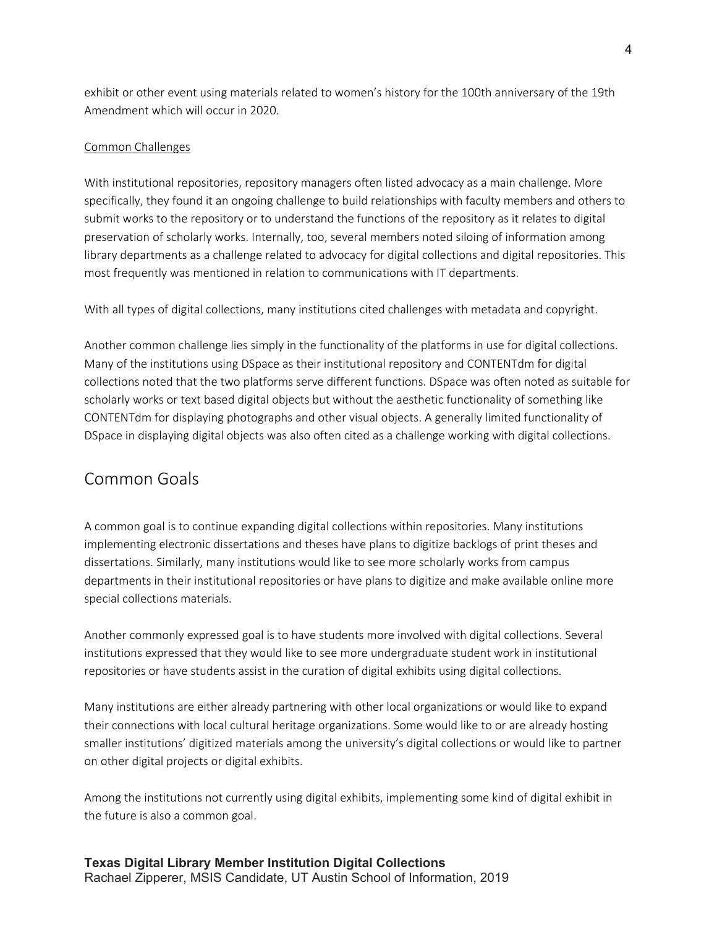exhibit or other event using materials related to women's history for the 100th anniversary of the 19th Amendment which will occur in 2020.

#### Common Challenges

With institutional repositories, repository managers often listed advocacy as a main challenge. More specifically, they found it an ongoing challenge to build relationships with faculty members and others to submit works to the repository or to understand the functions of the repository as it relates to digital preservation of scholarly works. Internally, too, several members noted siloing of information among library departments as a challenge related to advocacy for digital collections and digital repositories. This most frequently was mentioned in relation to communications with IT departments.

With all types of digital collections, many institutions cited challenges with metadata and copyright.

Another common challenge lies simply in the functionality of the platforms in use for digital collections. Many of the institutions using DSpace as their institutional repository and CONTENTdm for digital collections noted that the two platforms serve different functions. DSpace was often noted as suitable for scholarly works or text based digital objects but without the aesthetic functionality of something like CONTENTdm for displaying photographs and other visual objects. A generally limited functionality of DSpace in displaying digital objects was also often cited as a challenge working with digital collections.

## Common Goals

A common goal is to continue expanding digital collections within repositories. Many institutions implementing electronic dissertations and theses have plans to digitize backlogs of print theses and dissertations. Similarly, many institutions would like to see more scholarly works from campus departments in their institutional repositories or have plans to digitize and make available online more special collections materials.

Another commonly expressed goal is to have students more involved with digital collections. Several institutions expressed that they would like to see more undergraduate student work in institutional repositories or have students assist in the curation of digital exhibits using digital collections.

Many institutions are either already partnering with other local organizations or would like to expand their connections with local cultural heritage organizations. Some would like to or are already hosting smaller institutions' digitized materials among the university's digital collections or would like to partner on other digital projects or digital exhibits.

Among the institutions not currently using digital exhibits, implementing some kind of digital exhibit in the future is also a common goal.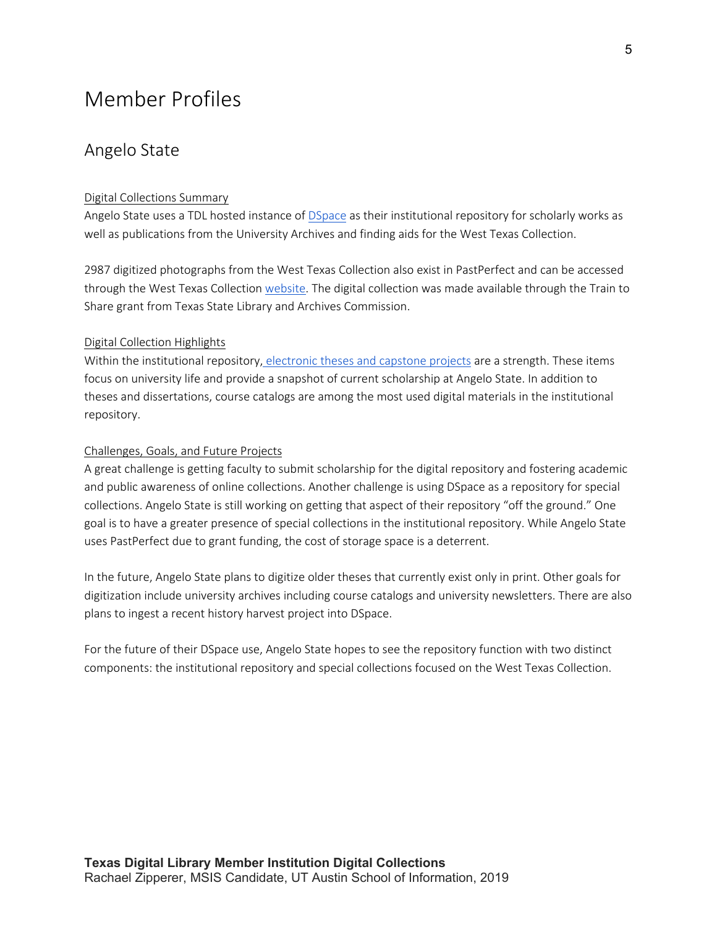# Member Profiles

### Angelo State

#### Digital Collections Summary

Angelo State uses a TDL hosted instance of DSpace as their institutional repository for scholarly works as well as publications from the University Archives and finding aids for the West Texas Collection.

2987 digitized photographs from the West Texas Collection also exist in PastPerfect and can be accessed through the West Texas Collection website. The digital collection was made available through the Train to Share grant from Texas State Library and Archives Commission.

#### Digital Collection Highlights

Within the institutional repository, electronic theses and capstone projects are a strength. These items focus on university life and provide a snapshot of current scholarship at Angelo State. In addition to theses and dissertations, course catalogs are among the most used digital materials in the institutional repository.

#### Challenges, Goals, and Future Projects

A great challenge is getting faculty to submit scholarship for the digital repository and fostering academic and public awareness of online collections. Another challenge is using DSpace as a repository for special collections. Angelo State is still working on getting that aspect of their repository "off the ground." One goal is to have a greater presence of special collections in the institutional repository. While Angelo State uses PastPerfect due to grant funding, the cost of storage space is a deterrent.

In the future, Angelo State plans to digitize older theses that currently exist only in print. Other goals for digitization include university archives including course catalogs and university newsletters. There are also plans to ingest a recent history harvest project into DSpace.

For the future of their DSpace use, Angelo State hopes to see the repository function with two distinct components: the institutional repository and special collections focused on the West Texas Collection.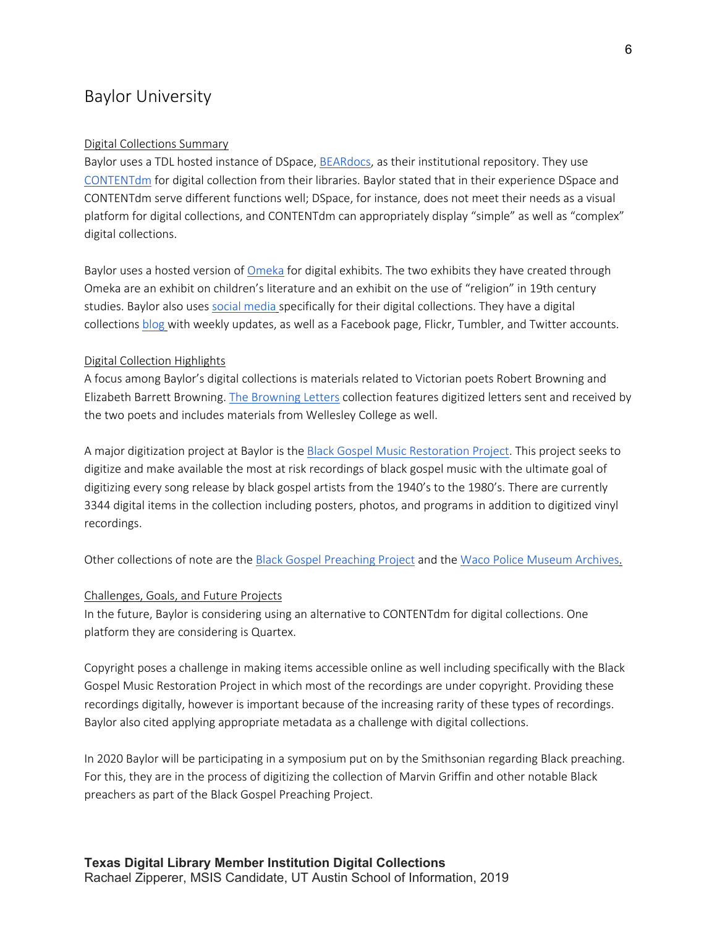### Baylor University

#### Digital Collections Summary

Baylor uses a TDL hosted instance of DSpace, BEARdocs, as their institutional repository. They use CONTENTdm for digital collection from their libraries. Baylor stated that in their experience DSpace and CONTENTdm serve different functions well; DSpace, for instance, does not meet their needs as a visual platform for digital collections, and CONTENTdm can appropriately display "simple" as well as "complex" digital collections.

Baylor uses a hosted version of Omeka for digital exhibits. The two exhibits they have created through Omeka are an exhibit on children's literature and an exhibit on the use of "religion" in 19th century studies. Baylor also uses social media specifically for their digital collections. They have a digital collections blog with weekly updates, as well as a Facebook page, Flickr, Tumbler, and Twitter accounts.

#### Digital Collection Highlights

A focus among Baylor's digital collections is materials related to Victorian poets Robert Browning and Elizabeth Barrett Browning. The Browning Letters collection features digitized letters sent and received by the two poets and includes materials from Wellesley College as well.

A major digitization project at Baylor is the Black Gospel Music Restoration Project. This project seeks to digitize and make available the most at risk recordings of black gospel music with the ultimate goal of digitizing every song release by black gospel artists from the 1940's to the 1980's. There are currently 3344 digital items in the collection including posters, photos, and programs in addition to digitized vinyl recordings.

Other collections of note are the Black Gospel Preaching Project and the Waco Police Museum Archives.

#### Challenges, Goals, and Future Projects

In the future, Baylor is considering using an alternative to CONTENTdm for digital collections. One platform they are considering is Quartex.

Copyright poses a challenge in making items accessible online as well including specifically with the Black Gospel Music Restoration Project in which most of the recordings are under copyright. Providing these recordings digitally, however is important because of the increasing rarity of these types of recordings. Baylor also cited applying appropriate metadata as a challenge with digital collections.

In 2020 Baylor will be participating in a symposium put on by the Smithsonian regarding Black preaching. For this, they are in the process of digitizing the collection of Marvin Griffin and other notable Black preachers as part of the Black Gospel Preaching Project.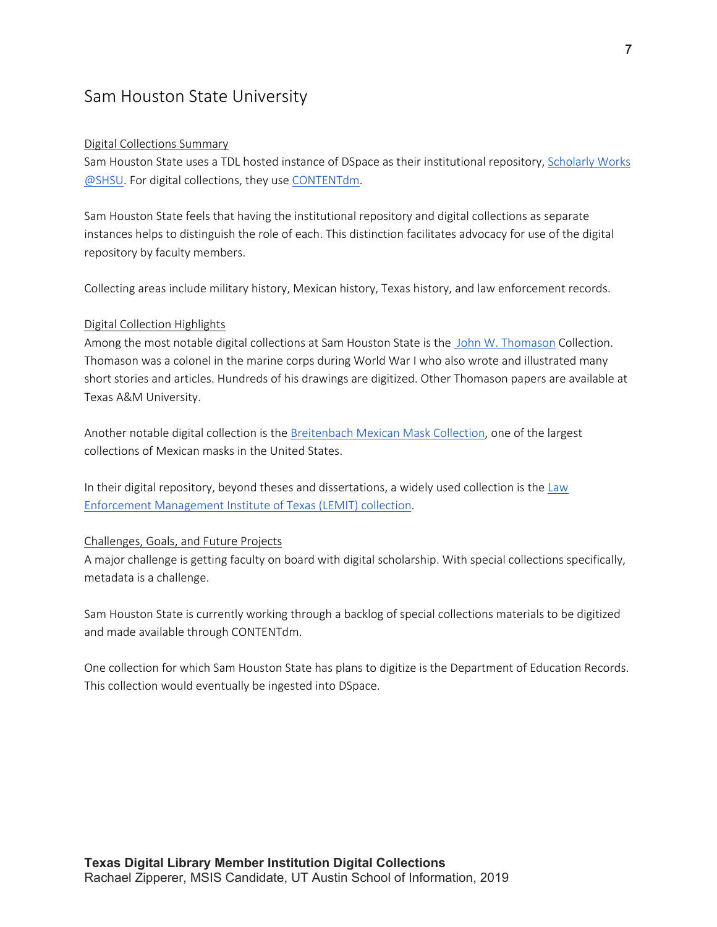### Sam Houston State University

#### Digital Collections Summary

Sam Houston State uses a TDL hosted instance of DSpace as their institutional repository, Scholarly Works @SHSU. For digital collections, they use CONTENTdm.

Sam Houston State feels that having the institutional repository and digital collections as separate instances helps to distinguish the role of each. This distinction facilitates advocacy for use of the digital repository by faculty members.

Collecting areas include military history, Mexican history, Texas history, and law enforcement records.

#### Digital Collection Highlights

Among the most notable digital collections at Sam Houston State is the John W. Thomason Collection. Thomason was a colonel in the marine corps during World War I who also wrote and illustrated many short stories and articles. Hundreds of his drawings are digitized. Other Thomason papers are available at Texas A&M University.

Another notable digital collection is the Breitenbach Mexican Mask Collection, one of the largest collections of Mexican masks in the United States.

In their digital repository, beyond theses and dissertations, a widely used collection is the  $\frac{Law}{2}$ Enforcement Management Institute of Texas (LEMIT) collection.

#### Challenges, Goals, and Future Projects

A major challenge is getting faculty on board with digital scholarship. With special collections specifically, metadata is a challenge.

Sam Houston State is currently working through a backlog of special collections materials to be digitized and made available through CONTENTdm.

One collection for which Sam Houston State has plans to digitize is the Department of Education Records. This collection would eventually be ingested into DSpace.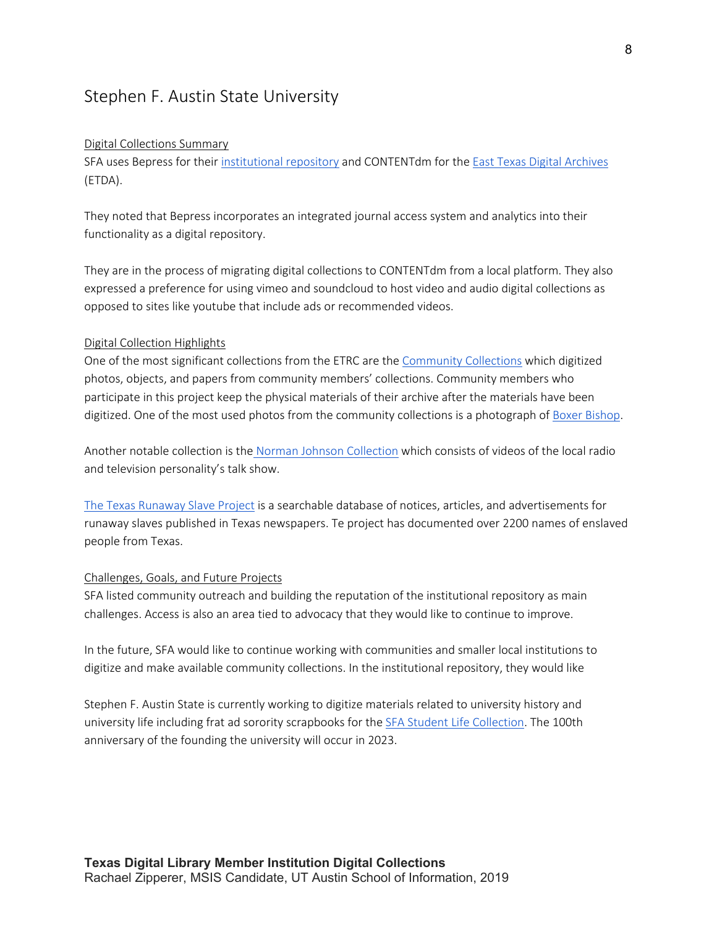### Stephen F. Austin State University

#### Digital Collections Summary

SFA uses Bepress for their institutional repository and CONTENTdm for the East Texas Digital Archives (ETDA).

They noted that Bepress incorporates an integrated journal access system and analytics into their functionality as a digital repository.

They are in the process of migrating digital collections to CONTENTdm from a local platform. They also expressed a preference for using vimeo and soundcloud to host video and audio digital collections as opposed to sites like youtube that include ads or recommended videos.

#### Digital Collection Highlights

One of the most significant collections from the ETRC are the Community Collections which digitized photos, objects, and papers from community members' collections. Community members who participate in this project keep the physical materials of their archive after the materials have been digitized. One of the most used photos from the community collections is a photograph of Boxer Bishop.

Another notable collection is the Norman Johnson Collection which consists of videos of the local radio and television personality's talk show.

The Texas Runaway Slave Project is a searchable database of notices, articles, and advertisements for runaway slaves published in Texas newspapers. Te project has documented over 2200 names of enslaved people from Texas.

#### Challenges, Goals, and Future Projects

SFA listed community outreach and building the reputation of the institutional repository as main challenges. Access is also an area tied to advocacy that they would like to continue to improve.

In the future, SFA would like to continue working with communities and smaller local institutions to digitize and make available community collections. In the institutional repository, they would like

Stephen F. Austin State is currently working to digitize materials related to university history and university life including frat ad sorority scrapbooks for the SFA Student Life Collection. The 100th anniversary of the founding the university will occur in 2023.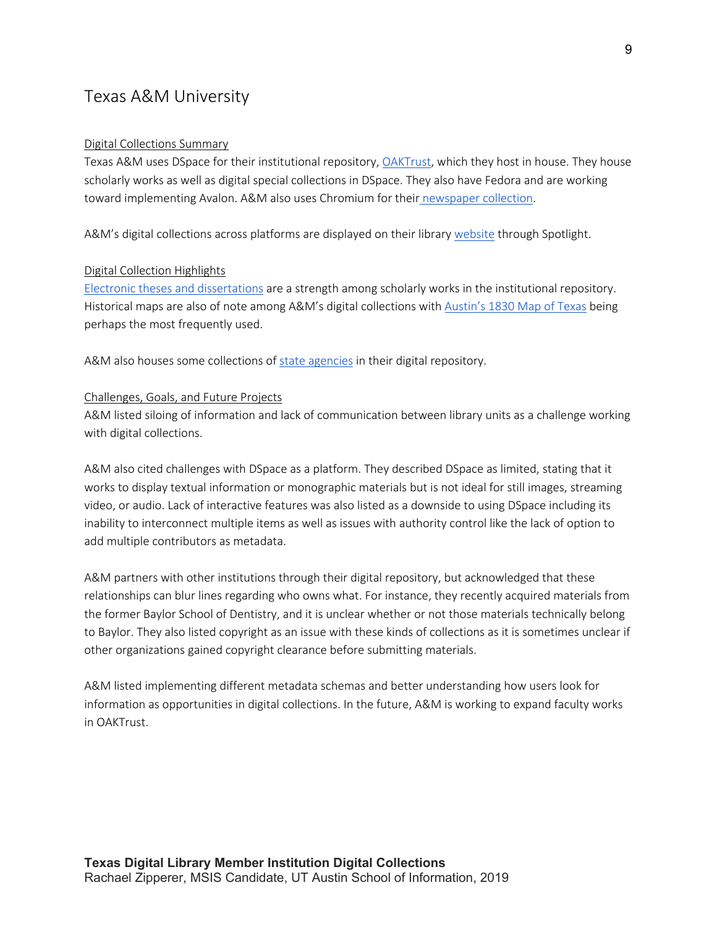### Texas A&M University

#### Digital Collections Summary

Texas A&M uses DSpace for their institutional repository, OAKTrust, which they host in house. They house scholarly works as well as digital special collections in DSpace. They also have Fedora and are working toward implementing Avalon. A&M also uses Chromium for their newspaper collection.

A&M's digital collections across platforms are displayed on their library website through Spotlight.

#### Digital Collection Highlights

Electronic theses and dissertations are a strength among scholarly works in the institutional repository. Historical maps are also of note among A&M's digital collections with Austin's 1830 Map of Texas being perhaps the most frequently used.

A&M also houses some collections of state agencies in their digital repository.

#### Challenges, Goals, and Future Projects

A&M listed siloing of information and lack of communication between library units as a challenge working with digital collections.

A&M also cited challenges with DSpace as a platform. They described DSpace as limited, stating that it works to display textual information or monographic materials but is not ideal for still images, streaming video, or audio. Lack of interactive features was also listed as a downside to using DSpace including its inability to interconnect multiple items as well as issues with authority control like the lack of option to add multiple contributors as metadata.

A&M partners with other institutions through their digital repository, but acknowledged that these relationships can blur lines regarding who owns what. For instance, they recently acquired materials from the former Baylor School of Dentistry, and it is unclear whether or not those materials technically belong to Baylor. They also listed copyright as an issue with these kinds of collections as it is sometimes unclear if other organizations gained copyright clearance before submitting materials.

A&M listed implementing different metadata schemas and better understanding how users look for information as opportunities in digital collections. In the future, A&M is working to expand faculty works in OAKTrust.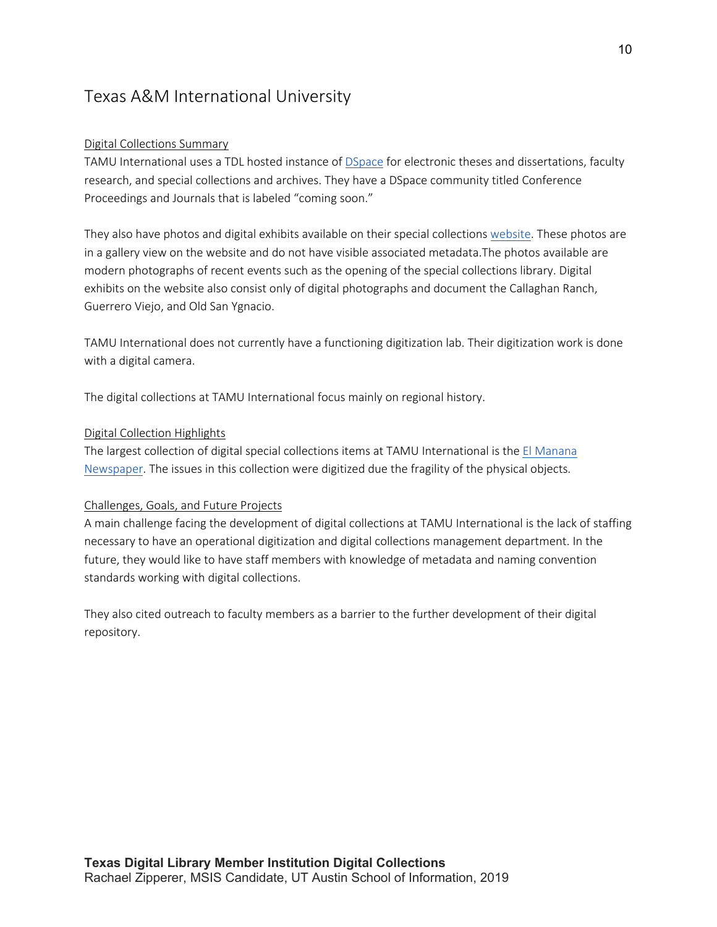## Texas A&M International University

#### Digital Collections Summary

TAMU International uses a TDL hosted instance of DSpace for electronic theses and dissertations, faculty research, and special collections and archives. They have a DSpace community titled Conference Proceedings and Journals that is labeled "coming soon."

They also have photos and digital exhibits available on their special collections website. These photos are in a gallery view on the website and do not have visible associated metadata.The photos available are modern photographs of recent events such as the opening of the special collections library. Digital exhibits on the website also consist only of digital photographs and document the Callaghan Ranch, Guerrero Viejo, and Old San Ygnacio.

TAMU International does not currently have a functioning digitization lab. Their digitization work is done with a digital camera.

The digital collections at TAMU International focus mainly on regional history.

#### Digital Collection Highlights

The largest collection of digital special collections items at TAMU International is the El Manana Newspaper. The issues in this collection were digitized due the fragility of the physical objects.

#### Challenges, Goals, and Future Projects

A main challenge facing the development of digital collections at TAMU International is the lack of staffing necessary to have an operational digitization and digital collections management department. In the future, they would like to have staff members with knowledge of metadata and naming convention standards working with digital collections.

They also cited outreach to faculty members as a barrier to the further development of their digital repository.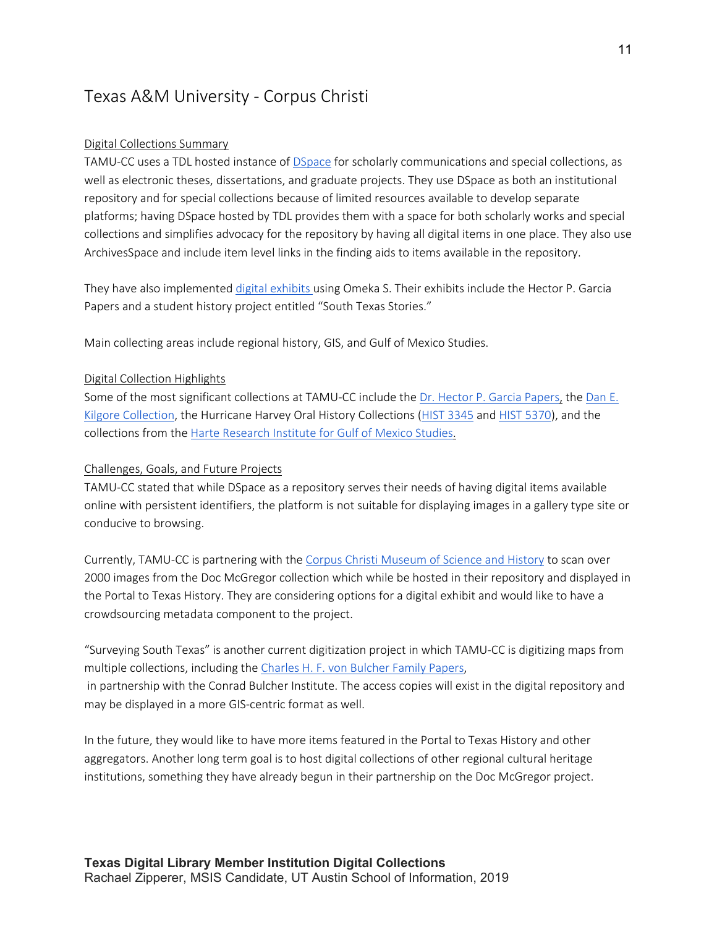## Texas A&M University - Corpus Christi

#### Digital Collections Summary

TAMU-CC uses a TDL hosted instance of DSpace for scholarly communications and special collections, as well as electronic theses, dissertations, and graduate projects. They use DSpace as both an institutional repository and for special collections because of limited resources available to develop separate platforms; having DSpace hosted by TDL provides them with a space for both scholarly works and special collections and simplifies advocacy for the repository by having all digital items in one place. They also use ArchivesSpace and include item level links in the finding aids to items available in the repository.

They have also implemented digital exhibits using Omeka S. Their exhibits include the Hector P. Garcia Papers and a student history project entitled "South Texas Stories."

Main collecting areas include regional history, GIS, and Gulf of Mexico Studies.

#### Digital Collection Highlights

Some of the most significant collections at TAMU-CC include the Dr. Hector P. Garcia Papers, the Dan E. Kilgore Collection, the Hurricane Harvey Oral History Collections (HIST 3345 and HIST 5370), and the collections from the Harte Research Institute for Gulf of Mexico Studies.

#### Challenges, Goals, and Future Projects

TAMU-CC stated that while DSpace as a repository serves their needs of having digital items available online with persistent identifiers, the platform is not suitable for displaying images in a gallery type site or conducive to browsing.

Currently, TAMU-CC is partnering with the Corpus Christi Museum of Science and History to scan over 2000 images from the Doc McGregor collection which while be hosted in their repository and displayed in the Portal to Texas History. They are considering options for a digital exhibit and would like to have a crowdsourcing metadata component to the project.

"Surveying South Texas" is another current digitization project in which TAMU-CC is digitizing maps from multiple collections, including the Charles H. F. von Bulcher Family Papers, in partnership with the Conrad Bulcher Institute. The access copies will exist in the digital repository and may be displayed in a more GIS-centric format as well.

In the future, they would like to have more items featured in the Portal to Texas History and other aggregators. Another long term goal is to host digital collections of other regional cultural heritage institutions, something they have already begun in their partnership on the Doc McGregor project.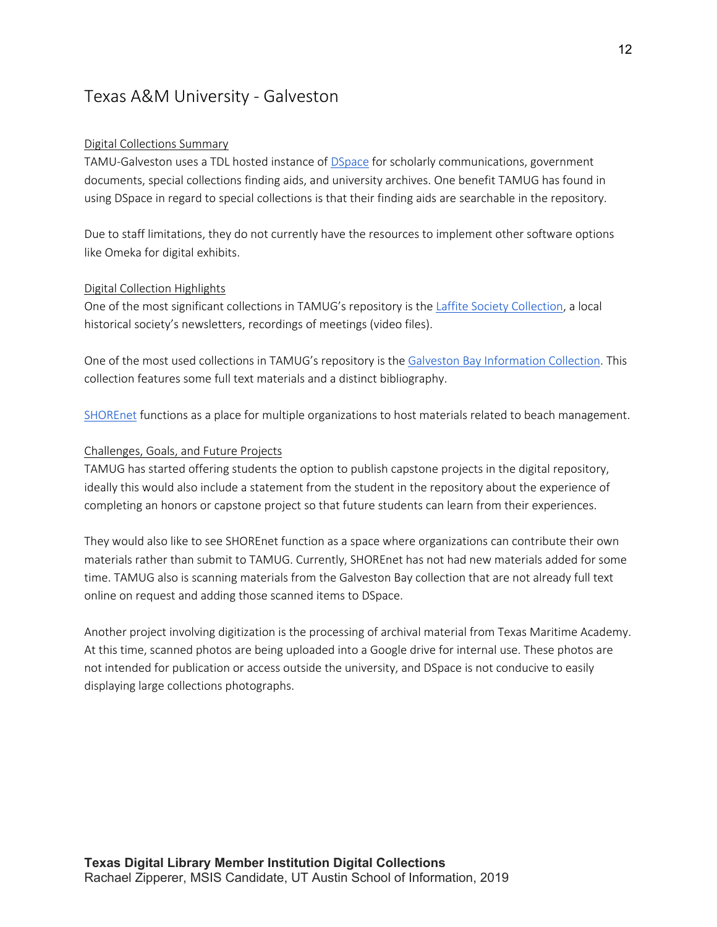## Texas A&M University - Galveston

#### Digital Collections Summary

TAMU-Galveston uses a TDL hosted instance of DSpace for scholarly communications, government documents, special collections finding aids, and university archives. One benefit TAMUG has found in using DSpace in regard to special collections is that their finding aids are searchable in the repository.

Due to staff limitations, they do not currently have the resources to implement other software options like Omeka for digital exhibits.

#### Digital Collection Highlights

One of the most significant collections in TAMUG's repository is the Laffite Society Collection, a local historical society's newsletters, recordings of meetings (video files).

One of the most used collections in TAMUG's repository is the Galveston Bay Information Collection. This collection features some full text materials and a distinct bibliography.

SHOREnet functions as a place for multiple organizations to host materials related to beach management.

#### Challenges, Goals, and Future Projects

TAMUG has started offering students the option to publish capstone projects in the digital repository, ideally this would also include a statement from the student in the repository about the experience of completing an honors or capstone project so that future students can learn from their experiences.

They would also like to see SHOREnet function as a space where organizations can contribute their own materials rather than submit to TAMUG. Currently, SHOREnet has not had new materials added for some time. TAMUG also is scanning materials from the Galveston Bay collection that are not already full text online on request and adding those scanned items to DSpace.

Another project involving digitization is the processing of archival material from Texas Maritime Academy. At this time, scanned photos are being uploaded into a Google drive for internal use. These photos are not intended for publication or access outside the university, and DSpace is not conducive to easily displaying large collections photographs.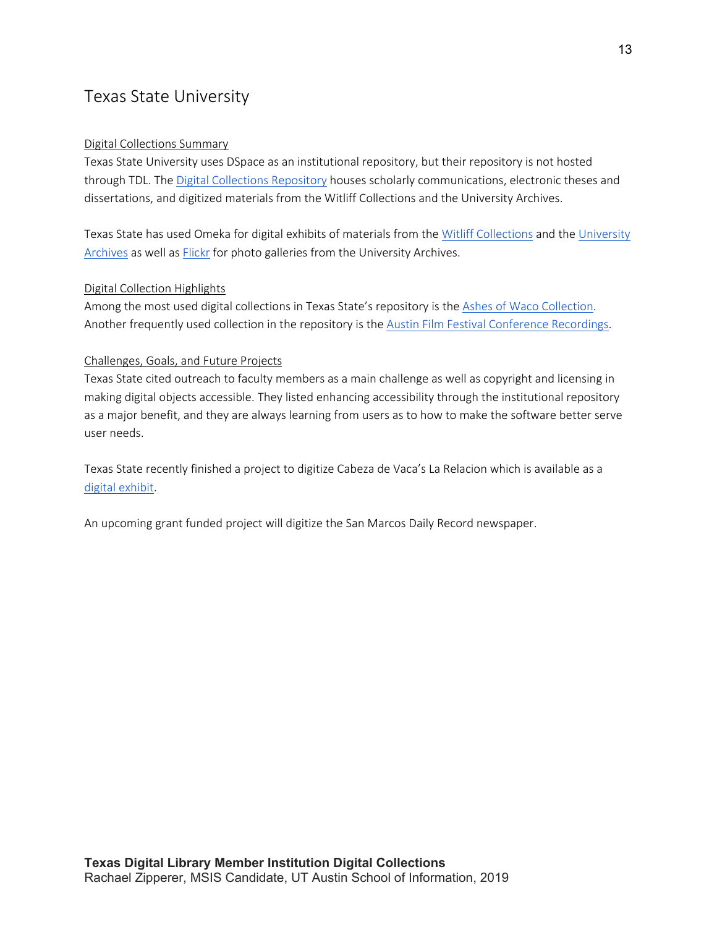## Texas State University

#### Digital Collections Summary

Texas State University uses DSpace as an institutional repository, but their repository is not hosted through TDL. The Digital Collections Repository houses scholarly communications, electronic theses and dissertations, and digitized materials from the Witliff Collections and the University Archives.

Texas State has used Omeka for digital exhibits of materials from the Witliff Collections and the University Archives as well as Flickr for photo galleries from the University Archives.

#### Digital Collection Highlights

Among the most used digital collections in Texas State's repository is the Ashes of Waco Collection. Another frequently used collection in the repository is the Austin Film Festival Conference Recordings.

#### Challenges, Goals, and Future Projects

Texas State cited outreach to faculty members as a main challenge as well as copyright and licensing in making digital objects accessible. They listed enhancing accessibility through the institutional repository as a major benefit, and they are always learning from users as to how to make the software better serve user needs.

Texas State recently finished a project to digitize Cabeza de Vaca's La Relacion which is available as a digital exhibit.

An upcoming grant funded project will digitize the San Marcos Daily Record newspaper.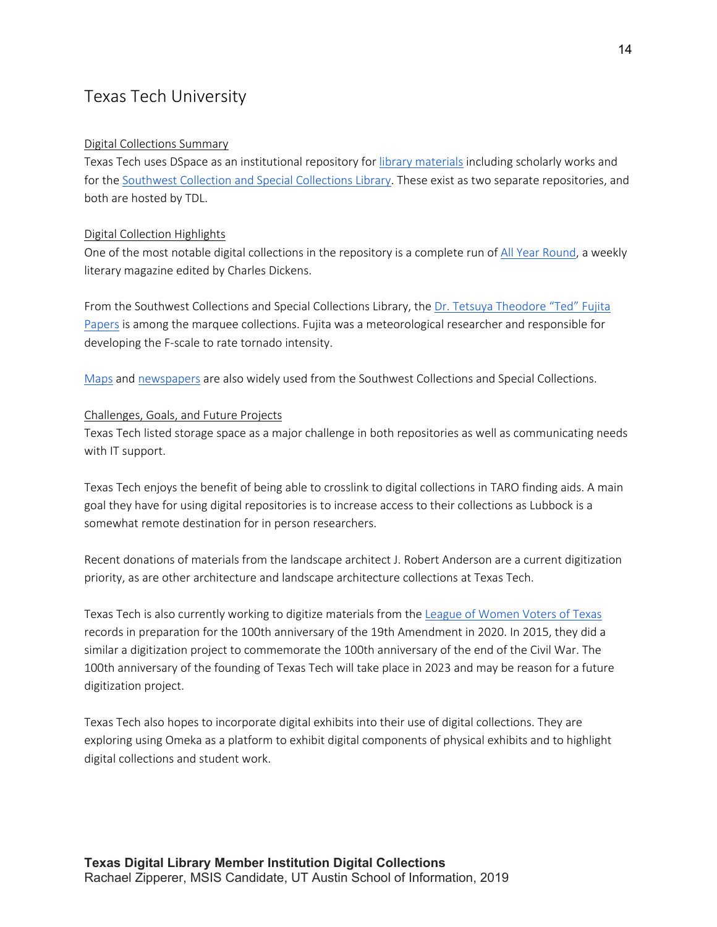### Texas Tech University

#### Digital Collections Summary

Texas Tech uses DSpace as an institutional repository for library materials including scholarly works and for the Southwest Collection and Special Collections Library. These exist as two separate repositories, and both are hosted by TDL.

#### Digital Collection Highlights

One of the most notable digital collections in the repository is a complete run of All Year Round, a weekly literary magazine edited by Charles Dickens.

From the Southwest Collections and Special Collections Library, the Dr. Tetsuya Theodore "Ted" Fujita Papers is among the marquee collections. Fujita was a meteorological researcher and responsible for developing the F-scale to rate tornado intensity.

Maps and newspapers are also widely used from the Southwest Collections and Special Collections.

#### Challenges, Goals, and Future Projects

Texas Tech listed storage space as a major challenge in both repositories as well as communicating needs with IT support.

Texas Tech enjoys the benefit of being able to crosslink to digital collections in TARO finding aids. A main goal they have for using digital repositories is to increase access to their collections as Lubbock is a somewhat remote destination for in person researchers.

Recent donations of materials from the landscape architect J. Robert Anderson are a current digitization priority, as are other architecture and landscape architecture collections at Texas Tech.

Texas Tech is also currently working to digitize materials from the League of Women Voters of Texas records in preparation for the 100th anniversary of the 19th Amendment in 2020. In 2015, they did a similar a digitization project to commemorate the 100th anniversary of the end of the Civil War. The 100th anniversary of the founding of Texas Tech will take place in 2023 and may be reason for a future digitization project.

Texas Tech also hopes to incorporate digital exhibits into their use of digital collections. They are exploring using Omeka as a platform to exhibit digital components of physical exhibits and to highlight digital collections and student work.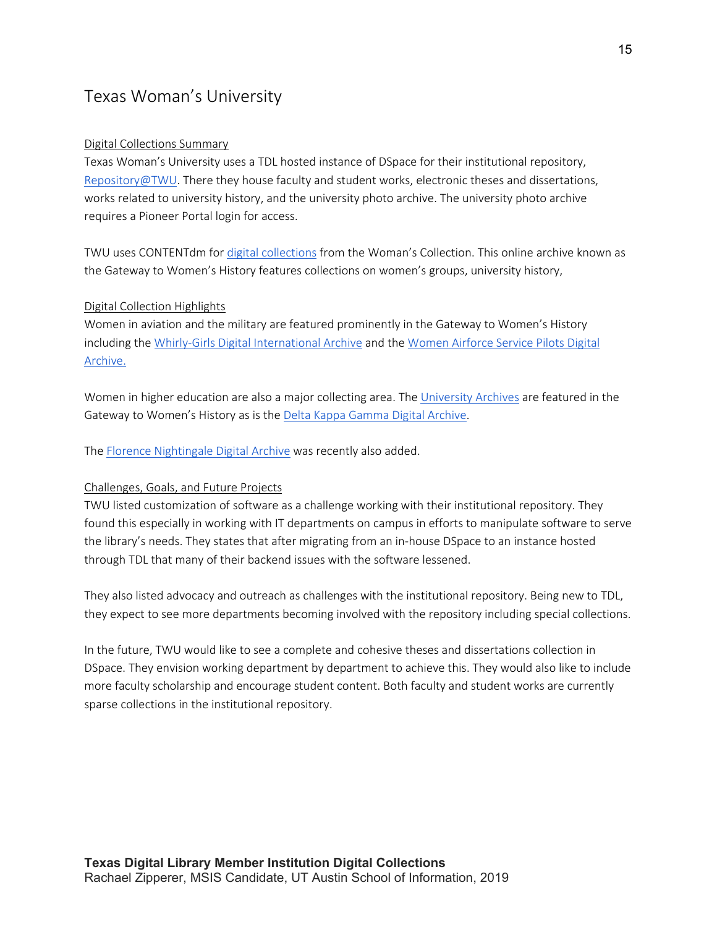## Texas Woman's University

#### Digital Collections Summary

Texas Woman's University uses a TDL hosted instance of DSpace for their institutional repository, Repository@TWU. There they house faculty and student works, electronic theses and dissertations, works related to university history, and the university photo archive. The university photo archive requires a Pioneer Portal login for access.

TWU uses CONTENTdm for digital collections from the Woman's Collection. This online archive known as the Gateway to Women's History features collections on women's groups, university history,

#### Digital Collection Highlights

Women in aviation and the military are featured prominently in the Gateway to Women's History including the Whirly-Girls Digital International Archive and the Women Airforce Service Pilots Digital Archive.

Women in higher education are also a major collecting area. The University Archives are featured in the Gateway to Women's History as is the Delta Kappa Gamma Digital Archive.

The Florence Nightingale Digital Archive was recently also added.

#### Challenges, Goals, and Future Projects

TWU listed customization of software as a challenge working with their institutional repository. They found this especially in working with IT departments on campus in efforts to manipulate software to serve the library's needs. They states that after migrating from an in-house DSpace to an instance hosted through TDL that many of their backend issues with the software lessened.

They also listed advocacy and outreach as challenges with the institutional repository. Being new to TDL, they expect to see more departments becoming involved with the repository including special collections.

In the future, TWU would like to see a complete and cohesive theses and dissertations collection in DSpace. They envision working department by department to achieve this. They would also like to include more faculty scholarship and encourage student content. Both faculty and student works are currently sparse collections in the institutional repository.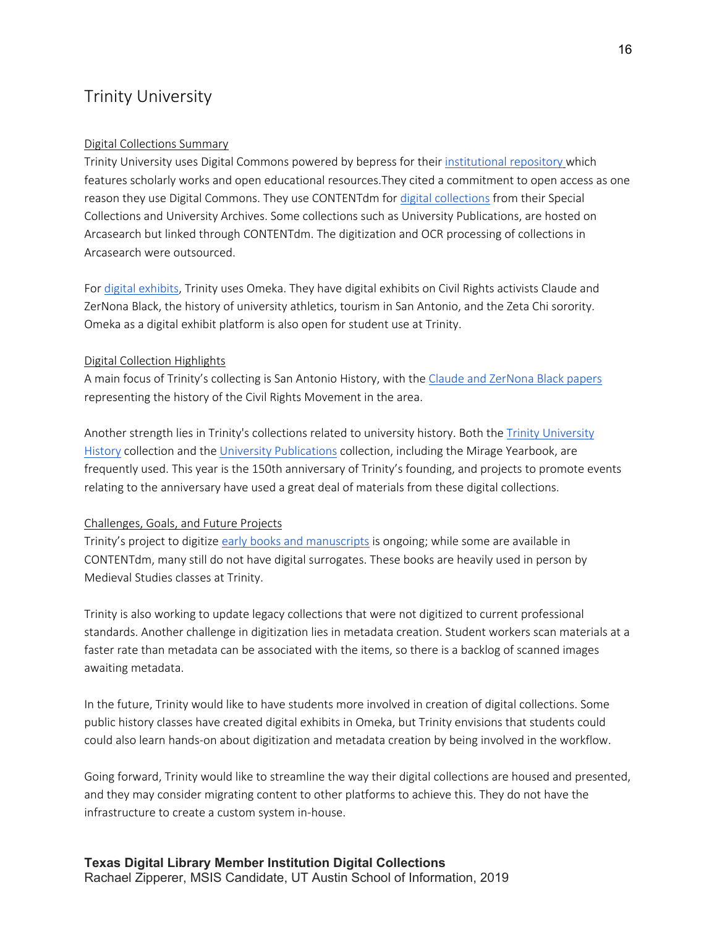### Trinity University

#### Digital Collections Summary

Trinity University uses Digital Commons powered by bepress for their institutional repository which features scholarly works and open educational resources.They cited a commitment to open access as one reason they use Digital Commons. They use CONTENTdm for digital collections from their Special Collections and University Archives. Some collections such as University Publications, are hosted on Arcasearch but linked through CONTENTdm. The digitization and OCR processing of collections in Arcasearch were outsourced.

For digital exhibits, Trinity uses Omeka. They have digital exhibits on Civil Rights activists Claude and ZerNona Black, the history of university athletics, tourism in San Antonio, and the Zeta Chi sorority. Omeka as a digital exhibit platform is also open for student use at Trinity.

#### Digital Collection Highlights

A main focus of Trinity's collecting is San Antonio History, with the Claude and ZerNona Black papers representing the history of the Civil Rights Movement in the area.

Another strength lies in Trinity's collections related to university history. Both the Trinity University History collection and the University Publications collection, including the Mirage Yearbook, are frequently used. This year is the 150th anniversary of Trinity's founding, and projects to promote events relating to the anniversary have used a great deal of materials from these digital collections.

#### Challenges, Goals, and Future Projects

Trinity's project to digitize early books and manuscripts is ongoing; while some are available in CONTENTdm, many still do not have digital surrogates. These books are heavily used in person by Medieval Studies classes at Trinity.

Trinity is also working to update legacy collections that were not digitized to current professional standards. Another challenge in digitization lies in metadata creation. Student workers scan materials at a faster rate than metadata can be associated with the items, so there is a backlog of scanned images awaiting metadata.

In the future, Trinity would like to have students more involved in creation of digital collections. Some public history classes have created digital exhibits in Omeka, but Trinity envisions that students could could also learn hands-on about digitization and metadata creation by being involved in the workflow.

Going forward, Trinity would like to streamline the way their digital collections are housed and presented, and they may consider migrating content to other platforms to achieve this. They do not have the infrastructure to create a custom system in-house.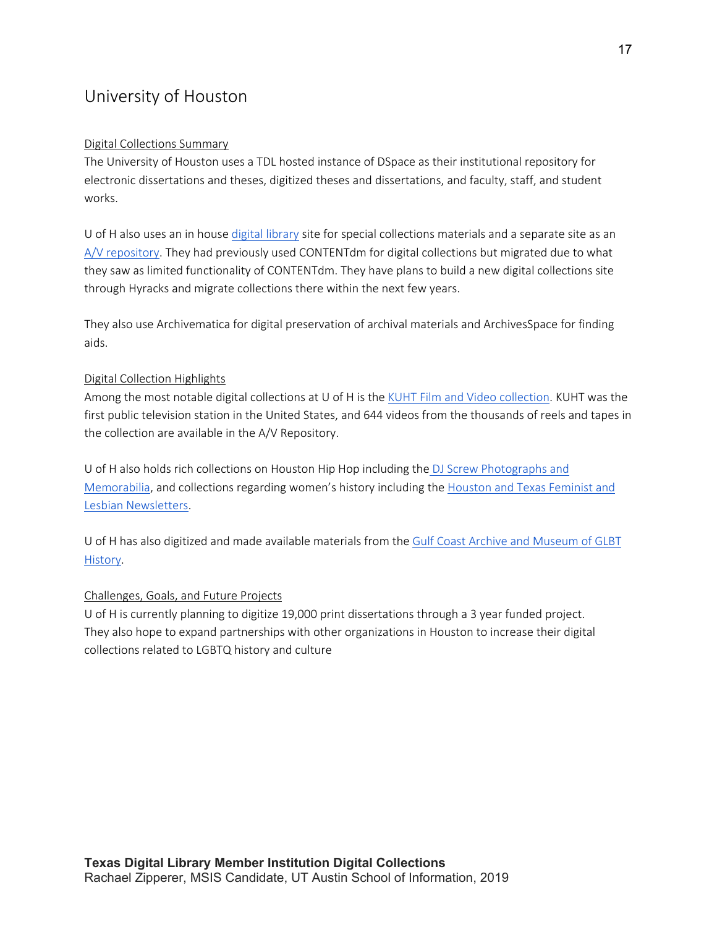## University of Houston

#### Digital Collections Summary

The University of Houston uses a TDL hosted instance of DSpace as their institutional repository for electronic dissertations and theses, digitized theses and dissertations, and faculty, staff, and student works.

U of H also uses an in house digital library site for special collections materials and a separate site as an A/V repository. They had previously used CONTENTdm for digital collections but migrated due to what they saw as limited functionality of CONTENTdm. They have plans to build a new digital collections site through Hyracks and migrate collections there within the next few years.

They also use Archivematica for digital preservation of archival materials and ArchivesSpace for finding aids.

#### Digital Collection Highlights

Among the most notable digital collections at U of H is the KUHT Film and Video collection. KUHT was the first public television station in the United States, and 644 videos from the thousands of reels and tapes in the collection are available in the A/V Repository.

U of H also holds rich collections on Houston Hip Hop including the DJ Screw Photographs and Memorabilia, and collections regarding women's history including the Houston and Texas Feminist and Lesbian Newsletters.

U of H has also digitized and made available materials from the Gulf Coast Archive and Museum of GLBT History.

#### Challenges, Goals, and Future Projects

U of H is currently planning to digitize 19,000 print dissertations through a 3 year funded project. They also hope to expand partnerships with other organizations in Houston to increase their digital collections related to LGBTQ history and culture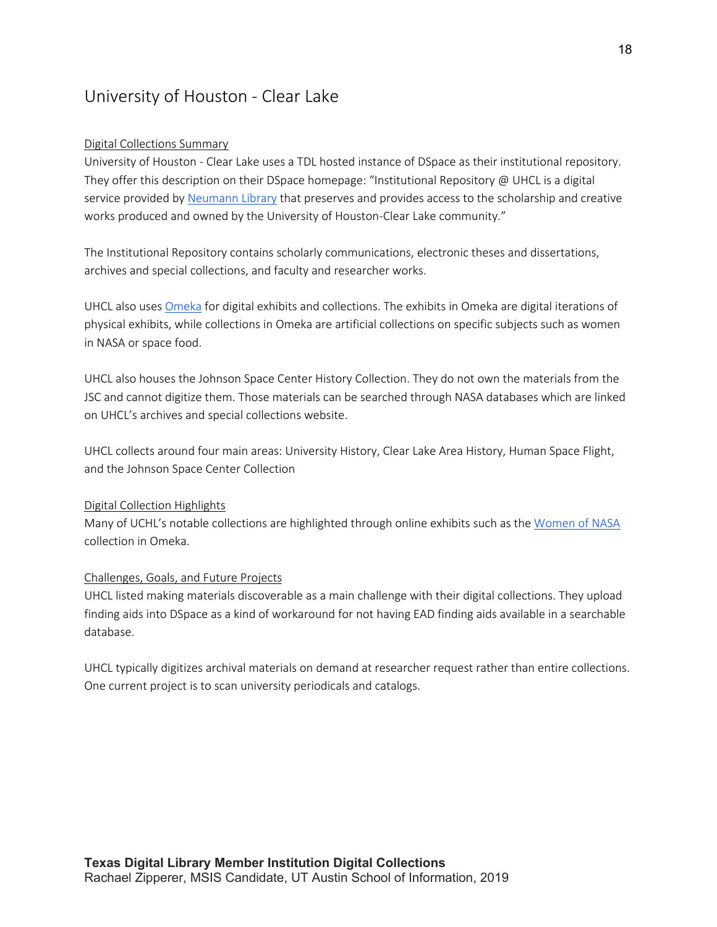## University of Houston - Clear Lake

#### Digital Collections Summary

University of Houston - Clear Lake uses a TDL hosted instance of DSpace as their institutional repository. They offer this description on their DSpace homepage: "Institutional Repository @ UHCL is a digital service provided by Neumann Library that preserves and provides access to the scholarship and creative works produced and owned by the University of Houston-Clear Lake community."

The Institutional Repository contains scholarly communications, electronic theses and dissertations, archives and special collections, and faculty and researcher works.

UHCL also uses Omeka for digital exhibits and collections. The exhibits in Omeka are digital iterations of physical exhibits, while collections in Omeka are artificial collections on specific subjects such as women in NASA or space food.

UHCL also houses the Johnson Space Center History Collection. They do not own the materials from the JSC and cannot digitize them. Those materials can be searched through NASA databases which are linked on UHCL's archives and special collections website.

UHCL collects around four main areas: University History, Clear Lake Area History, Human Space Flight, and the Johnson Space Center Collection

#### Digital Collection Highlights

Many of UCHL's notable collections are highlighted through online exhibits such as the Women of NASA collection in Omeka.

#### Challenges, Goals, and Future Projects

UHCL listed making materials discoverable as a main challenge with their digital collections. They upload finding aids into DSpace as a kind of workaround for not having EAD finding aids available in a searchable database.

UHCL typically digitizes archival materials on demand at researcher request rather than entire collections. One current project is to scan university periodicals and catalogs.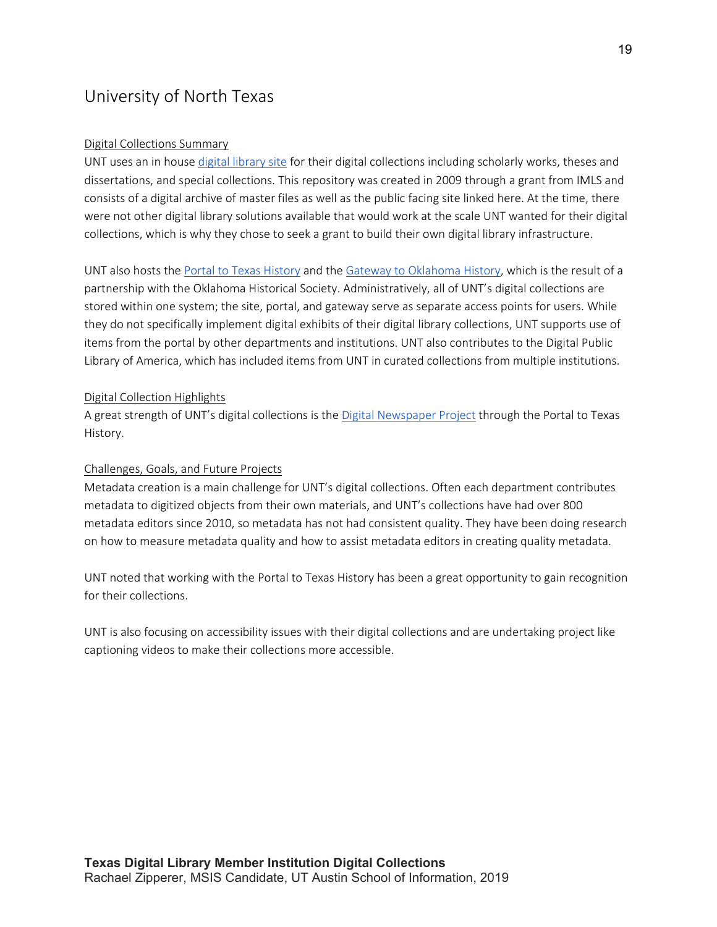### University of North Texas

#### Digital Collections Summary

UNT uses an in house digital library site for their digital collections including scholarly works, theses and dissertations, and special collections. This repository was created in 2009 through a grant from IMLS and consists of a digital archive of master files as well as the public facing site linked here. At the time, there were not other digital library solutions available that would work at the scale UNT wanted for their digital collections, which is why they chose to seek a grant to build their own digital library infrastructure.

UNT also hosts the Portal to Texas History and the Gateway to Oklahoma History, which is the result of a partnership with the Oklahoma Historical Society. Administratively, all of UNT's digital collections are stored within one system; the site, portal, and gateway serve as separate access points for users. While they do not specifically implement digital exhibits of their digital library collections, UNT supports use of items from the portal by other departments and institutions. UNT also contributes to the Digital Public Library of America, which has included items from UNT in curated collections from multiple institutions.

#### Digital Collection Highlights

A great strength of UNT's digital collections is the Digital Newspaper Project through the Portal to Texas History.

#### Challenges, Goals, and Future Projects

Metadata creation is a main challenge for UNT's digital collections. Often each department contributes metadata to digitized objects from their own materials, and UNT's collections have had over 800 metadata editors since 2010, so metadata has not had consistent quality. They have been doing research on how to measure metadata quality and how to assist metadata editors in creating quality metadata.

UNT noted that working with the Portal to Texas History has been a great opportunity to gain recognition for their collections.

UNT is also focusing on accessibility issues with their digital collections and are undertaking project like captioning videos to make their collections more accessible.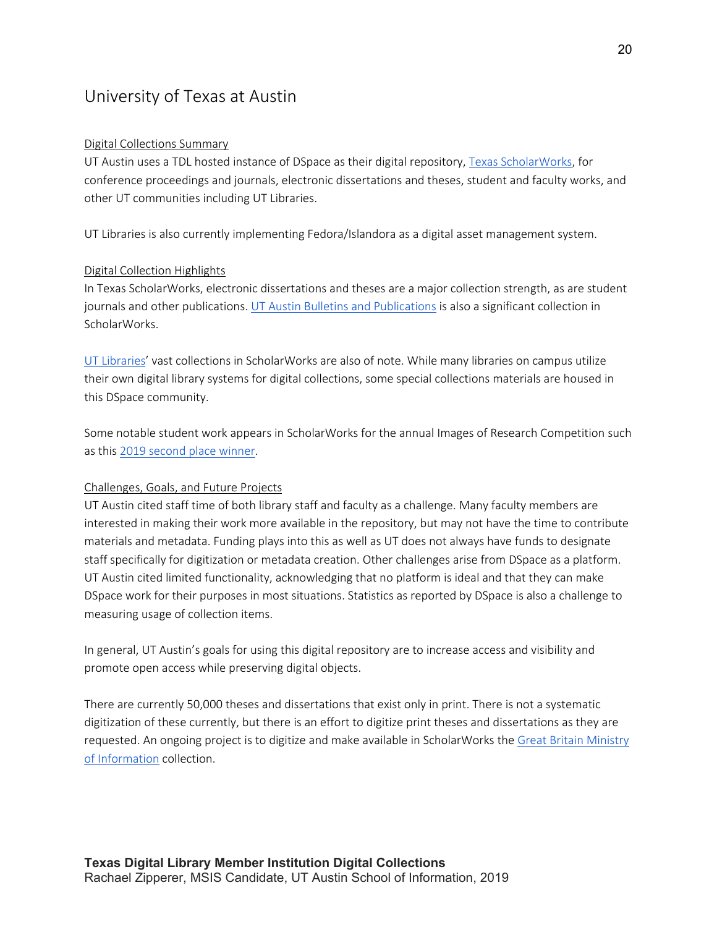## University of Texas at Austin

#### Digital Collections Summary

UT Austin uses a TDL hosted instance of DSpace as their digital repository, Texas ScholarWorks, for conference proceedings and journals, electronic dissertations and theses, student and faculty works, and other UT communities including UT Libraries.

UT Libraries is also currently implementing Fedora/Islandora as a digital asset management system.

#### Digital Collection Highlights

In Texas ScholarWorks, electronic dissertations and theses are a major collection strength, as are student journals and other publications. UT Austin Bulletins and Publications is also a significant collection in ScholarWorks.

UT Libraries' vast collections in ScholarWorks are also of note. While many libraries on campus utilize their own digital library systems for digital collections, some special collections materials are housed in this DSpace community.

Some notable student work appears in ScholarWorks for the annual Images of Research Competition such as this 2019 second place winner.

#### Challenges, Goals, and Future Projects

UT Austin cited staff time of both library staff and faculty as a challenge. Many faculty members are interested in making their work more available in the repository, but may not have the time to contribute materials and metadata. Funding plays into this as well as UT does not always have funds to designate staff specifically for digitization or metadata creation. Other challenges arise from DSpace as a platform. UT Austin cited limited functionality, acknowledging that no platform is ideal and that they can make DSpace work for their purposes in most situations. Statistics as reported by DSpace is also a challenge to measuring usage of collection items.

In general, UT Austin's goals for using this digital repository are to increase access and visibility and promote open access while preserving digital objects.

There are currently 50,000 theses and dissertations that exist only in print. There is not a systematic digitization of these currently, but there is an effort to digitize print theses and dissertations as they are requested. An ongoing project is to digitize and make available in ScholarWorks the Great Britain Ministry of Information collection.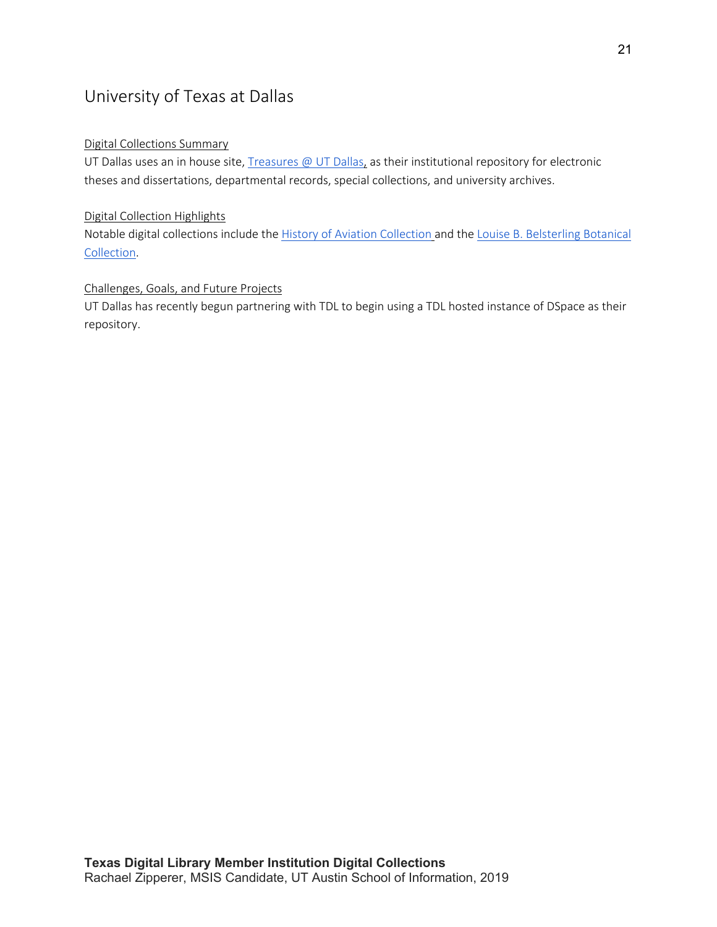## University of Texas at Dallas

#### Digital Collections Summary

UT Dallas uses an in house site, Treasures @ UT Dallas, as their institutional repository for electronic theses and dissertations, departmental records, special collections, and university archives.

#### Digital Collection Highlights

Notable digital collections include the History of Aviation Collection and the Louise B. Belsterling Botanical Collection.

#### Challenges, Goals, and Future Projects

UT Dallas has recently begun partnering with TDL to begin using a TDL hosted instance of DSpace as their repository.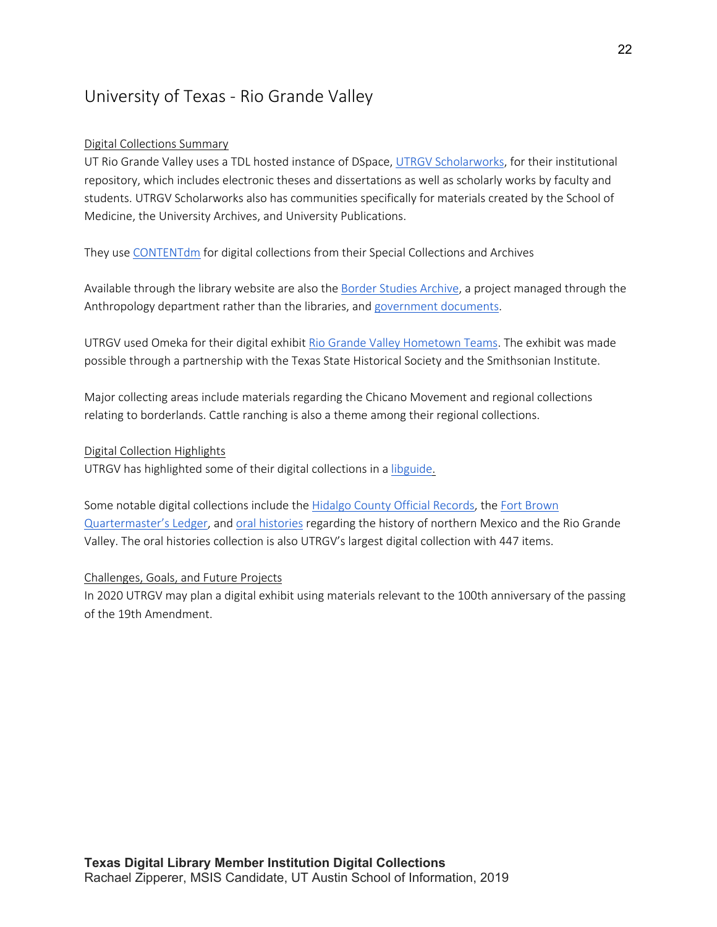## University of Texas - Rio Grande Valley

#### Digital Collections Summary

UT Rio Grande Valley uses a TDL hosted instance of DSpace, UTRGV Scholarworks, for their institutional repository, which includes electronic theses and dissertations as well as scholarly works by faculty and students. UTRGV Scholarworks also has communities specifically for materials created by the School of Medicine, the University Archives, and University Publications.

They use CONTENTdm for digital collections from their Special Collections and Archives

Available through the library website are also the Border Studies Archive, a project managed through the Anthropology department rather than the libraries, and government documents.

UTRGV used Omeka for their digital exhibit Rio Grande Valley Hometown Teams. The exhibit was made possible through a partnership with the Texas State Historical Society and the Smithsonian Institute.

Major collecting areas include materials regarding the Chicano Movement and regional collections relating to borderlands. Cattle ranching is also a theme among their regional collections.

#### Digital Collection Highlights

UTRGV has highlighted some of their digital collections in a libguide.

Some notable digital collections include the Hidalgo County Official Records, the Fort Brown Quartermaster's Ledger, and oral histories regarding the history of northern Mexico and the Rio Grande Valley. The oral histories collection is also UTRGV's largest digital collection with 447 items.

#### Challenges, Goals, and Future Projects

In 2020 UTRGV may plan a digital exhibit using materials relevant to the 100th anniversary of the passing of the 19th Amendment.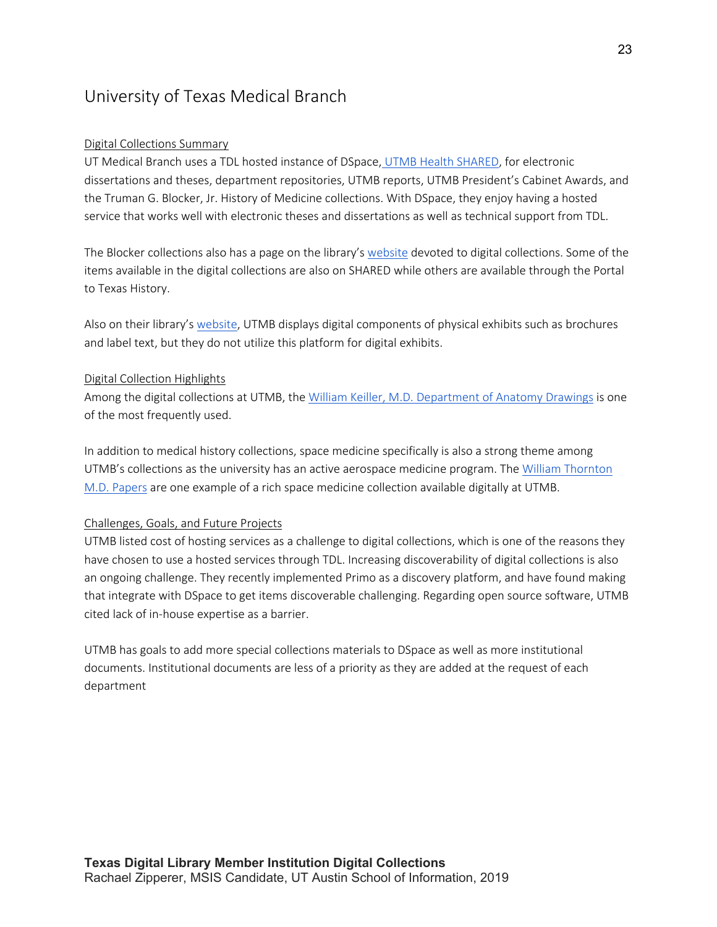## University of Texas Medical Branch

#### Digital Collections Summary

UT Medical Branch uses a TDL hosted instance of DSpace, UTMB Health SHARED, for electronic dissertations and theses, department repositories, UTMB reports, UTMB President's Cabinet Awards, and the Truman G. Blocker, Jr. History of Medicine collections. With DSpace, they enjoy having a hosted service that works well with electronic theses and dissertations as well as technical support from TDL.

The Blocker collections also has a page on the library's website devoted to digital collections. Some of the items available in the digital collections are also on SHARED while others are available through the Portal to Texas History.

Also on their library's website, UTMB displays digital components of physical exhibits such as brochures and label text, but they do not utilize this platform for digital exhibits.

#### Digital Collection Highlights

Among the digital collections at UTMB, the William Keiller, M.D. Department of Anatomy Drawings is one of the most frequently used.

In addition to medical history collections, space medicine specifically is also a strong theme among UTMB's collections as the university has an active aerospace medicine program. The William Thornton M.D. Papers are one example of a rich space medicine collection available digitally at UTMB.

#### Challenges, Goals, and Future Projects

UTMB listed cost of hosting services as a challenge to digital collections, which is one of the reasons they have chosen to use a hosted services through TDL. Increasing discoverability of digital collections is also an ongoing challenge. They recently implemented Primo as a discovery platform, and have found making that integrate with DSpace to get items discoverable challenging. Regarding open source software, UTMB cited lack of in-house expertise as a barrier.

UTMB has goals to add more special collections materials to DSpace as well as more institutional documents. Institutional documents are less of a priority as they are added at the request of each department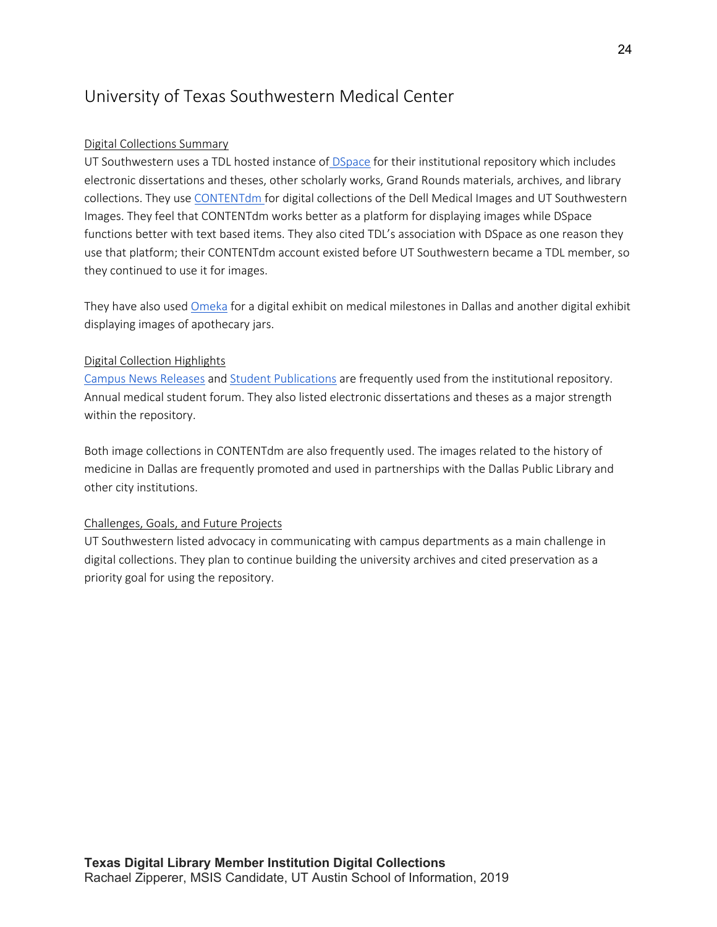## University of Texas Southwestern Medical Center

#### Digital Collections Summary

UT Southwestern uses a TDL hosted instance of DSpace for their institutional repository which includes electronic dissertations and theses, other scholarly works, Grand Rounds materials, archives, and library collections. They use CONTENTdm for digital collections of the Dell Medical Images and UT Southwestern Images. They feel that CONTENTdm works better as a platform for displaying images while DSpace functions better with text based items. They also cited TDL's association with DSpace as one reason they use that platform; their CONTENTdm account existed before UT Southwestern became a TDL member, so they continued to use it for images.

They have also used Omeka for a digital exhibit on medical milestones in Dallas and another digital exhibit displaying images of apothecary jars.

#### Digital Collection Highlights

Campus News Releases and Student Publications are frequently used from the institutional repository. Annual medical student forum. They also listed electronic dissertations and theses as a major strength within the repository.

Both image collections in CONTENTdm are also frequently used. The images related to the history of medicine in Dallas are frequently promoted and used in partnerships with the Dallas Public Library and other city institutions.

#### Challenges, Goals, and Future Projects

UT Southwestern listed advocacy in communicating with campus departments as a main challenge in digital collections. They plan to continue building the university archives and cited preservation as a priority goal for using the repository.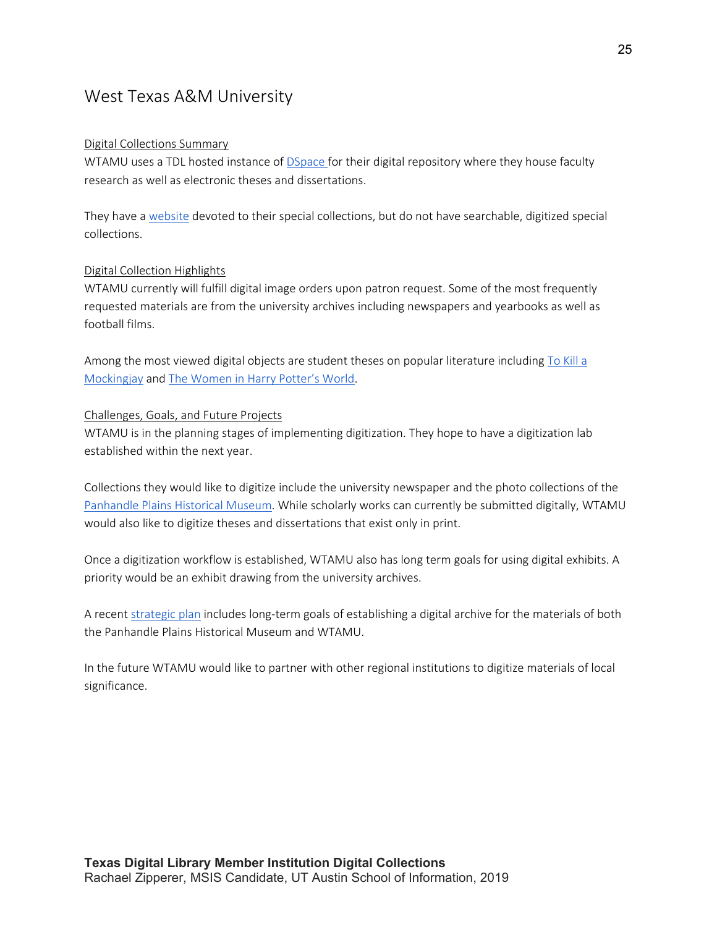### West Texas A&M University

#### Digital Collections Summary

WTAMU uses a TDL hosted instance of DSpace for their digital repository where they house faculty research as well as electronic theses and dissertations.

They have a website devoted to their special collections, but do not have searchable, digitized special collections.

#### Digital Collection Highlights

WTAMU currently will fulfill digital image orders upon patron request. Some of the most frequently requested materials are from the university archives including newspapers and yearbooks as well as football films.

Among the most viewed digital objects are student theses on popular literature including To Kill a Mockingjay and The Women in Harry Potter's World.

#### Challenges, Goals, and Future Projects

WTAMU is in the planning stages of implementing digitization. They hope to have a digitization lab established within the next year.

Collections they would like to digitize include the university newspaper and the photo collections of the Panhandle Plains Historical Museum. While scholarly works can currently be submitted digitally, WTAMU would also like to digitize theses and dissertations that exist only in print.

Once a digitization workflow is established, WTAMU also has long term goals for using digital exhibits. A priority would be an exhibit drawing from the university archives.

A recent strategic plan includes long-term goals of establishing a digital archive for the materials of both the Panhandle Plains Historical Museum and WTAMU.

In the future WTAMU would like to partner with other regional institutions to digitize materials of local significance.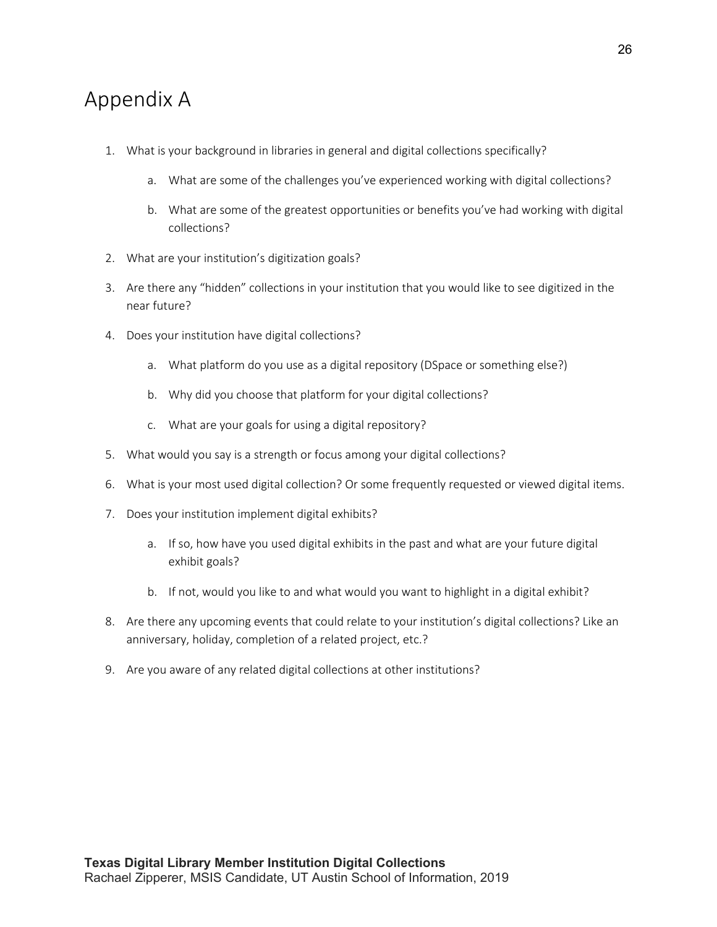# Appendix A

- 1. What is your background in libraries in general and digital collections specifically?
	- a. What are some of the challenges you've experienced working with digital collections?
	- b. What are some of the greatest opportunities or benefits you've had working with digital collections?
- 2. What are your institution's digitization goals?
- 3. Are there any "hidden" collections in your institution that you would like to see digitized in the near future?
- 4. Does your institution have digital collections?
	- a. What platform do you use as a digital repository (DSpace or something else?)
	- b. Why did you choose that platform for your digital collections?
	- c. What are your goals for using a digital repository?
- 5. What would you say is a strength or focus among your digital collections?
- 6. What is your most used digital collection? Or some frequently requested or viewed digital items.
- 7. Does your institution implement digital exhibits?
	- a. If so, how have you used digital exhibits in the past and what are your future digital exhibit goals?
	- b. If not, would you like to and what would you want to highlight in a digital exhibit?
- 8. Are there any upcoming events that could relate to your institution's digital collections? Like an anniversary, holiday, completion of a related project, etc.?
- 9. Are you aware of any related digital collections at other institutions?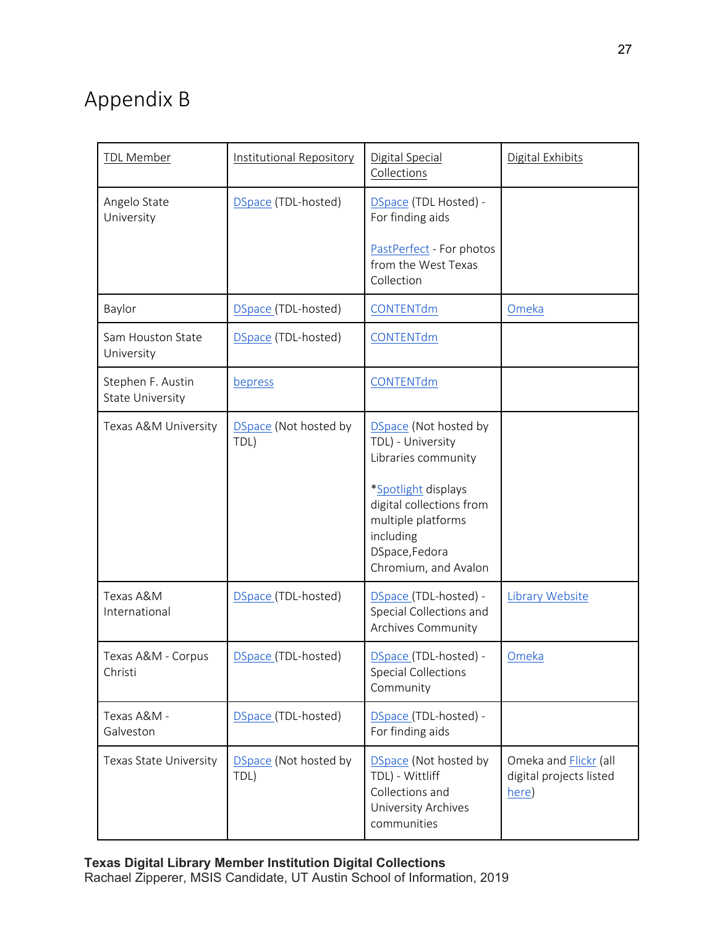# Appendix B

| <b>TDL Member</b>                            | <b>Institutional Repository</b> | Digital Special<br>Collections                                                                                                                                                                    | Digital Exhibits                                                 |
|----------------------------------------------|---------------------------------|---------------------------------------------------------------------------------------------------------------------------------------------------------------------------------------------------|------------------------------------------------------------------|
| Angelo State<br>University                   | DSpace (TDL-hosted)             | DSpace (TDL Hosted) -<br>For finding aids<br>PastPerfect - For photos<br>from the West Texas<br>Collection                                                                                        |                                                                  |
| Baylor                                       | DSpace (TDL-hosted)             | <b>CONTENTdm</b>                                                                                                                                                                                  | Omeka                                                            |
| Sam Houston State<br>University              | DSpace (TDL-hosted)             | CONTENTdm                                                                                                                                                                                         |                                                                  |
| Stephen F. Austin<br><b>State University</b> | bepress                         | CONTENTdm                                                                                                                                                                                         |                                                                  |
| Texas A&M University                         | DSpace (Not hosted by<br>TDL)   | DSpace (Not hosted by<br>TDL) - University<br>Libraries community<br>*Spotlight displays<br>digital collections from<br>multiple platforms<br>including<br>DSpace, Fedora<br>Chromium, and Avalon |                                                                  |
| Texas A&M<br>International                   | DSpace (TDL-hosted)             | DSpace (TDL-hosted) -<br>Special Collections and<br>Archives Community                                                                                                                            | <b>Library Website</b>                                           |
| Texas A&M - Corpus<br>Christi                | DSpace (TDL-hosted)             | DSpace (TDL-hosted) -<br><b>Special Collections</b><br>Community                                                                                                                                  | Omeka                                                            |
| Texas A&M -<br>Galveston                     | DSpace (TDL-hosted)             | DSpace (TDL-hosted) -<br>For finding aids                                                                                                                                                         |                                                                  |
| Texas State University                       | DSpace (Not hosted by<br>TDL)   | DSpace (Not hosted by<br>TDL) - Wittliff<br>Collections and<br>University Archives<br>communities                                                                                                 | Omeka and <b>Flickr</b> (all<br>digital projects listed<br>here) |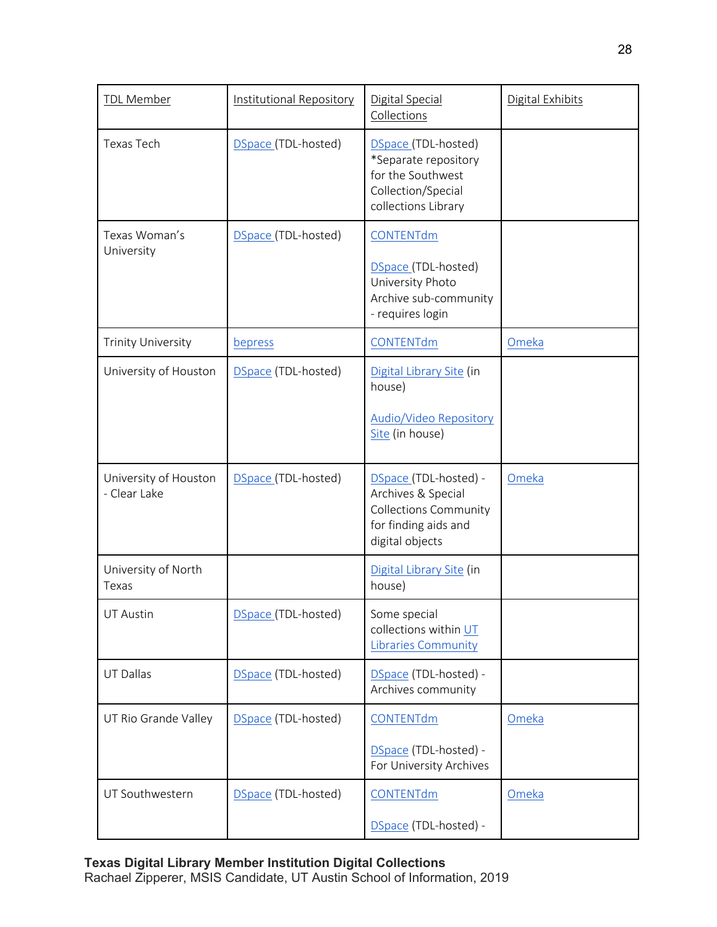| <b>Institutional Repository</b> | Digital Special<br>Collections                                                                                         | Digital Exhibits      |
|---------------------------------|------------------------------------------------------------------------------------------------------------------------|-----------------------|
| DSpace (TDL-hosted)             | DSpace (TDL-hosted)<br>*Separate repository<br>for the Southwest<br>Collection/Special<br>collections Library          |                       |
| DSpace (TDL-hosted)             | CONTENTdm<br>DSpace (TDL-hosted)<br>University Photo<br>Archive sub-community<br>- requires login                      |                       |
| bepress                         | <b>CONTENTdm</b>                                                                                                       | Omeka                 |
| DSpace (TDL-hosted)             | Digital Library Site (in<br>house)<br><b>Audio/Video Repository</b><br>Site (in house)                                 |                       |
| DSpace (TDL-hosted)             | DSpace (TDL-hosted) -<br>Archives & Special<br><b>Collections Community</b><br>for finding aids and<br>digital objects | Omeka                 |
|                                 | Digital Library Site (in<br>house)                                                                                     |                       |
| DSpace (TDL-hosted)             | Some special<br>collections within UT<br><b>Libraries Community</b>                                                    |                       |
| DSpace (TDL-hosted)             | DSpace (TDL-hosted) -<br>Archives community                                                                            |                       |
| DSpace (TDL-hosted)             | CONTENTdm<br>DSpace (TDL-hosted) -<br>For University Archives                                                          | Omeka                 |
| DSpace (TDL-hosted)             | CONTENTdm                                                                                                              | Omeka                 |
|                                 |                                                                                                                        | DSpace (TDL-hosted) - |